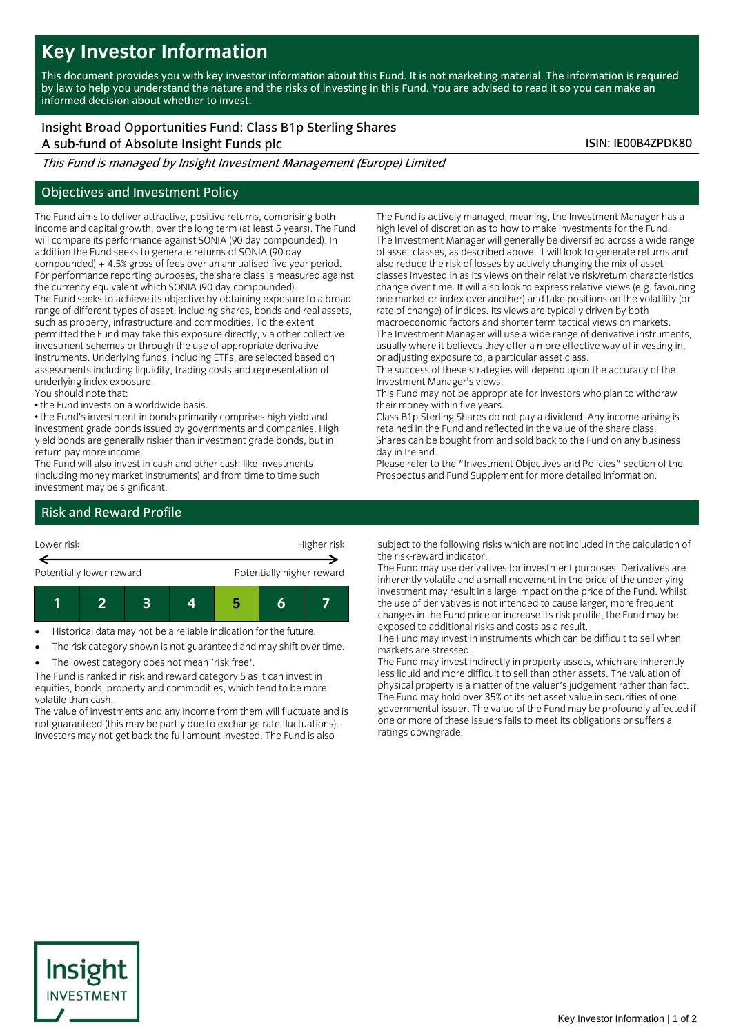# **Key Investor Information**

This document provides you with key investor information about this Fund. It is not marketing material. The information is required by law to help you understand the nature and the risks of investing in this Fund. You are advised to read it so you can make an informed decision about whether to invest.

## Insight Broad Opportunities Fund: Class B1p Sterling Shares

A sub-fund of Absolute Insight Funds plc ISIN: IE00B4ZPDK80

This Fund is managed by Insight Investment Management (Europe) Limited

#### Objectives and Investment Policy

The Fund aims to deliver attractive, positive returns, comprising both income and capital growth, over the long term (at least 5 years). The Fund will compare its performance against SONIA (90 day compounded). In addition the Fund seeks to generate returns of SONIA (90 day compounded) + 4.5% gross of fees over an annualised five year period. For performance reporting purposes, the share class is measured against the currency equivalent which SONIA (90 day compounded). The Fund seeks to achieve its objective by obtaining exposure to a broad range of different types of asset, including shares, bonds and real assets,

such as property, infrastructure and commodities. To the extent permitted the Fund may take this exposure directly, via other collective investment schemes or through the use of appropriate derivative instruments. Underlying funds, including ETFs, are selected based on assessments including liquidity, trading costs and representation of underlying index exposure.

- You should note that:
- the Fund invests on a worldwide basis.

• the Fund's investment in bonds primarily comprises high yield and investment grade bonds issued by governments and companies. High yield bonds are generally riskier than investment grade bonds, but in return pay more income.

The Fund will also invest in cash and other cash-like investments (including money market instruments) and from time to time such investment may be significant.

The Fund is actively managed, meaning, the Investment Manager has a high level of discretion as to how to make investments for the Fund. The Investment Manager will generally be diversified across a wide range of asset classes, as described above. It will look to generate returns and also reduce the risk of losses by actively changing the mix of asset classes invested in as its views on their relative risk/return characteristics change over time. It will also look to express relative views (e.g. favouring one market or index over another) and take positions on the volatility (or rate of change) of indices. Its views are typically driven by both macroeconomic factors and shorter term tactical views on markets. The Investment Manager will use a wide range of derivative instruments,

usually where it believes they offer a more effective way of investing in, or adjusting exposure to, a particular asset class.

The success of these strategies will depend upon the accuracy of the Investment Manager's views.

This Fund may not be appropriate for investors who plan to withdraw their money within five years.

Class B1p Sterling Shares do not pay a dividend. Any income arising is retained in the Fund and reflected in the value of the share class. Shares can be bought from and sold back to the Fund on any business day in Ireland.

Please refer to the "Investment Objectives and Policies" section of the Prospectus and Fund Supplement for more detailed information.

### Risk and Reward Profile



Historical data may not be a reliable indication for the future.

- The risk category shown is not guaranteed and may shift over time.
- The lowest category does not mean 'risk free'.

The Fund is ranked in risk and reward category 5 as it can invest in equities, bonds, property and commodities, which tend to be more volatile than cash.

The value of investments and any income from them will fluctuate and is not guaranteed (this may be partly due to exchange rate fluctuations). Investors may not get back the full amount invested. The Fund is also

subject to the following risks which are not included in the calculation of the risk-reward indicator.

The Fund may use derivatives for investment purposes. Derivatives are inherently volatile and a small movement in the price of the underlying investment may result in a large impact on the price of the Fund. Whilst the use of derivatives is not intended to cause larger, more frequent changes in the Fund price or increase its risk profile, the Fund may be exposed to additional risks and costs as a result.

The Fund may invest in instruments which can be difficult to sell when markets are stressed.

The Fund may invest indirectly in property assets, which are inherently less liquid and more difficult to sell than other assets. The valuation of physical property is a matter of the valuer's judgement rather than fact. The Fund may hold over 35% of its net asset value in securities of one governmental issuer. The value of the Fund may be profoundly affected if one or more of these issuers fails to meet its obligations or suffers a ratings downgrade.